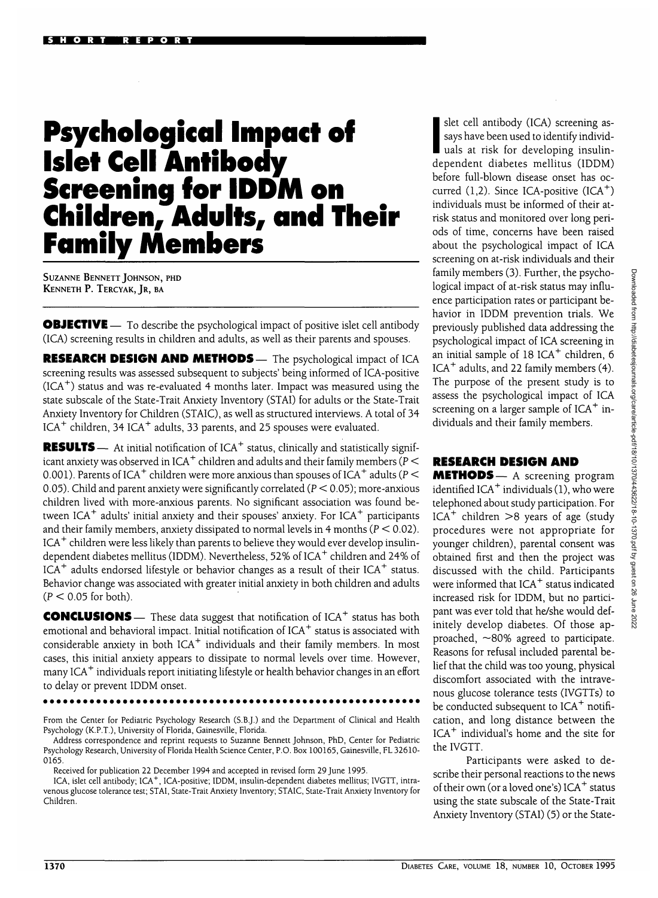## **Psychological Impact of Islet Cell Antibody Screening for IDDM on Children, Adults, and Their Family Members**

SUZANNE BENNETT JOHNSON, PHD KENNETH P. TERCYAK, JR, BA

**OBJECTIVE** — To describe the psychological impact of positive islet cell antibody (ICA) screening results in children and adults, as well as their parents and spouses.

**RESEARCH DESIGN AND METHODS—** The psychological impact of ICA screening results was assessed subsequent to subjects' being informed of ICA-positive (ICA $^{\mathrm{+}}$ ) status and was re-evaluated 4 months later. Impact was measured using the state subscale of the State-Trait Anxiety Inventory (STAI) for adults or the State-Trait Anxiety Inventory for Children (STAIC), as well as structured interviews. A total of 34 ICA $^+$  children, 34 ICA $^+$  adults, 33 parents, and 25 spouses were evaluated.

**RESULTS** — At initial notification of ICA<sup>+</sup> status, clinically and statistically significant anxiety was observed in ICA $^+$  children and adults and their family members (P  $<$ 0.001). Parents of ICA $^+$  children were more anxious than spouses of ICA $^+$  adults (P  $<$ 0.05). Child and parent anxiety were significantly correlated ( $P < 0.05$ ); more-anxious children lived with more-anxious parents. No significant association was found between ICA<sup>+</sup> adults' initial anxiety and their spouses' anxiety. For ICA<sup>+</sup> participants and their family members, anxiety dissipated to normal levels in 4 months ( $P < 0.02$ ). ICA<sup>+</sup> children were less likely than parents to believe they would ever develop insulindependent diabetes mellitus (IDDM). Nevertheless, 52% of ICA<sup>+</sup> children and 24% of ICA<sup>+</sup> adults endorsed lifestyle or behavior changes as a result of their ICA<sup>+</sup> status. Behavior change was associated with greater initial anxiety in both children and adults  $(P < 0.05$  for both).

**CONCLUSIONS** — These data suggest that notification of ICA<sup>+</sup> status has both emotional and behavioral impact. Initial notification of ICA $^+$  status is associated with considerable anxiety in both ICA $^+$  individuals and their family members. In most cases, this initial anxiety appears to dissipate to normal levels over time. However, many ICA<sup>+</sup> individuals report initiating lifestyle or health behavior changes in an effort to delay or prevent IDDM onset.

From the Center for Pediatric Psychology Research (S.B.J.) and the Department of Clinical and Health Psychology (K.P.T.), University of Florida, Gainesville, Florida.

Address correspondence and reprint requests to Suzanne Bennett Johnson, PhD, Center for Pediatric Psychology Research, University of Florida Health Science Center, P.O. Box 100165, Gainesville, FL 32610- 0165.

Received for publication 22 December 1994 and accepted in revised form 29 June 1995.

ICA, islet cell antibody; 1CA+ , ICA-positive; IDDM, insulin-dependent diabetes mellitus; IVGTT, intravenous glucose tolerance test; STAI, State-Trait Anxiety Inventory; STAIC, State-Trait Anxiety Inventory for Children.

slet cell antibody (ICA) screening as-<br>says have been used to identify individ-<br>uals at risk for developing insulinsays have been used to identify individuals at risk for developing insulindependent diabetes mellitus (IDDM) before full-blown disease onset has occurred  $(1,2)$ . Since ICA-positive  $(ICA<sup>+</sup>)$ individuals must be informed of their atrisk status and monitored over long periods of time, concerns have been raised about the psychological impact of ICA screening on at-risk individuals and their family members (3). Further, the psychological impact of at-risk status may influence participation rates or participant behavior in IDDM prevention trials. We previously published data addressing the psychological impact of ICA screening in an initial sample of  $18$  ICA<sup>+</sup> children, 6 ICA<sup>+</sup> adults, and 22 family members (4). The purpose of the present study is to assess the psychological impact of ICA screening on a larger sample of  $ICA^+$  individuals and their family members.

## **RESEARCH DESIGN AND**

**METHODS**— A screening program identified ICA $^+$  individuals (1), who were telephoned about study participation. For ICA<sup>+</sup> children  $>8$  years of age (study procedures were not appropriate for younger children), parental consent was obtained first and then the project was discussed with the child. Participants were informed that ICA<sup>+</sup> status indicated increased risk for IDDM, but no participant was ever told that he/she would definitely develop diabetes. Of those approached,  $\sim$ 80% agreed to participate. Reasons for refusal included parental belief that the child was too young, physical discomfort associated with the intravenous glucose tolerance tests (IVGTTs) to be conducted subsequent to ICA<sup>+</sup> notification, and long distance between the ICA<sup>+</sup> individual's home and the site for the IVGTT.

Participants were asked to describe their personal reactions to the news of their own (or a loved one's) ICA $^+$  status using the state subscale of the State-Trait Anxiety Inventory (STAI) (5) or the State-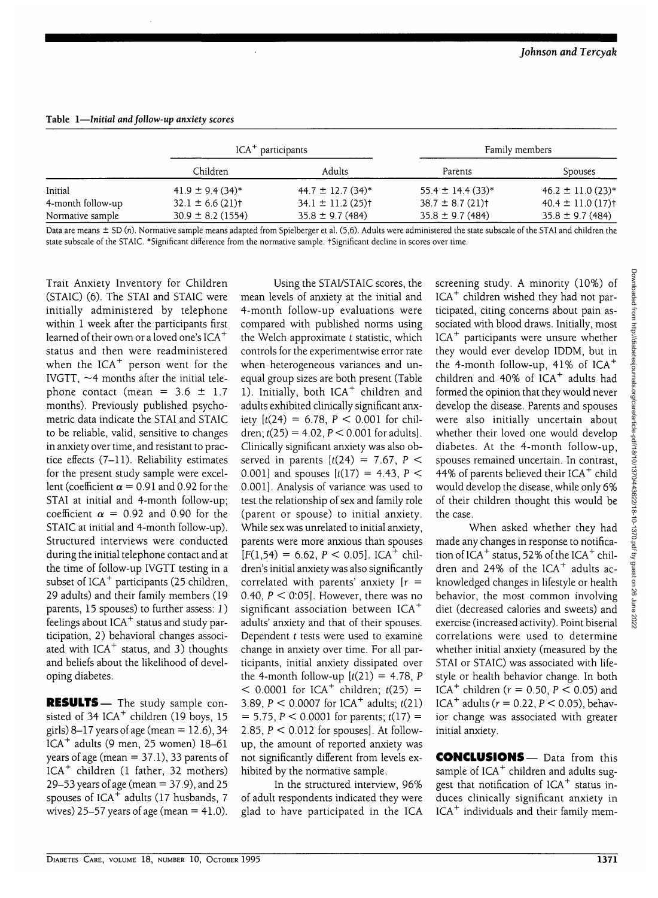| Table 1—Initial and follow-up anxiety scores |                                  |                                   |                                  |                                   |
|----------------------------------------------|----------------------------------|-----------------------------------|----------------------------------|-----------------------------------|
|                                              | $ICA^+$ participants             |                                   | Family members                   |                                   |
|                                              | Children                         | Adults                            | Parents                          | Spouses                           |
| Initial                                      | $41.9 \pm 9.4(34)^*$             | $44.7 \pm 12.7$ (34)*             | $55.4 \pm 14.4(33)^*$            | $46.2 \pm 11.0(23)^*$             |
| 4-month follow-up                            | $32.1 \pm 6.6$ (21) <sup>†</sup> | $34.1 \pm 11.2$ (25) <sup>†</sup> | $38.7 \pm 8.7$ (21) <sup>†</sup> | $40.4 \pm 11.0$ (17) <sup>†</sup> |
| Normative cample                             | $300 + 82(1554)$                 | $35.8 + 0.7(484)$                 | $35.8 + 0.7(484)$                | $35.8 + 0.7(484)$                 |

Normative sample 30.9 ± 8.2 (1554) 35.8 ±9.7 (484) 35.8 ±9.7 (484) 35.8 ± 9.7 (484) Data are means ± SD (n). Normative sample means adapted from Spielberger et al. (5,6). Adults were administered the state subscale of the STAI and children the

state subscale of the STAIC. \*Significant difference from the normative sample. tSignificant decline in scores over time.

Trait Anxiety Inventory for Children (STAIC) (6). The STAI and STAIC were initially administered by telephone within 1 week after the participants first learned of their own or a loved one's  $ICA^+$ status and then were readministered when the ICA $^+$  person went for the IVGTT,  $\sim$ 4 months after the initial telephone contact (mean =  $3.6 \pm 1.7$ months). Previously published psychometric data indicate the STAI and STAIC to be reliable, valid, sensitive to changes in anxiety over time, and resistant to practice effects (7-11). Reliability estimates for the present study sample were excellent (coefficient  $\alpha$  = 0.91 and 0.92 for the STAI at initial and 4-month follow-up; coefficient  $\alpha$  = 0.92 and 0.90 for the STAIC at initial and 4-month follow-up). Structured interviews were conducted during the initial telephone contact and at the time of follow-up IVGTT testing in a subset of  $ICA^+$  participants (25 children, 29 adults) and their family members (19 parents, 15 spouses) to further assess: J) patents, 15 spouses, to further assess. 1,<br>feelings about ICA<sup>+</sup> status and study participation, 2) behavioral changes associated with ICA<sup>+</sup> status, and 3) thoughts and beliefs about the likelihood of developing diabetes.

**RESULTS**— The study sample consisted of 34 ICA<sup>+</sup> children (19 boys, 15 girls) 8–17 years of age (mean =  $12.6$ ), 34 ICA<sup>+</sup> adults (9 men, 25 women) 18-61 years of age (mean  $= 37.1$ ), 33 parents of ICA<sup>+</sup> children (1 father, 32 mothers) 29-53 years of age (mean = 37.9), and 25 spouses of ICA<sup>+</sup> adults (17 husbands, 7 wives) 25–57 years of age (mean  $=$  41.0).

Using the STAI/STAIC scores, the mean levels of anxiety at the initial and 4-month follow-up evaluations were compared with published norms using the Welch approximate  $t$  statistic, which controls for the experimentwise error rate when heterogeneous variances and unequal group sizes are both present (Table 1). Initially, both ICA<sup>+</sup> children and adults exhibited clinically significant anxiety  $[t(24) = 6.78, P < 0.001$  for children;  $t(25) = 4.02$ ,  $P < 0.001$  for adults]. Clinically significant anxiety was also observed in parents  $[t(24) = 7.67, P <$ 0.001] and spouses  $[t(17) = 4.43, P <$ 0.001]. Analysis of variance was used to test the relationship of sex and family role (parent or spouse) to initial anxiety. While sex was unrelated to initial anxiety, parents were more anxious than spouses  $F(F(1.54) = 6.62, P < 0.051, ICA + 6b)$ dren's initial anxiety was also significantly correlated with parents' anxiety  $[r =$ 0.40,  $P < 0.05$ ]. However, there was no significant association between ICA<sup>+</sup> adults' anxiety and that of their spouses. Dependent  $t$  tests were used to examine change in anxiety over time. For all participants, initial anxiety dissipated over the 4-month follow-up  $[t(21) = 4.78, P]$  $\epsilon$  0.0001 for ICA<sup>+</sup> children;  $t(25)$  =  $3.80 \text{ } R \leq 0.0001$  for  $1CA^+$  educts:  $t(21)$  $= 5.75, P < 0.0001$  for parents;  $t(17) =$ 2.85,  $P < 0.012$  for spouses]. At followup, the amount of reported anxiety was not significantly different from levels exhibited by the normative sample.

In the structured interview, 96% of adult respondents indicated they were glad to have participated in the ICA

screening study. A minority (10%) of ICA<sup>+</sup> children wished they had not participated, citing concerns about pain associated with blood draws. Initially, most ICA<sup>+</sup> participants were unsure whether they would ever develop IDDM, but in the 4-month follow-up, 41% of ICA<sup>+</sup> children and 40% of ICA<sup>+</sup> adults had formed the opinion that they would never develop the disease. Parents and spouses were also initially uncertain about whether their loved one would develop diabetes. At the 4-month follow-up, spouses remained uncertain. In contrast, <sup>1</sup><br>44% of parents believed their ICA<sup>+</sup> child would develop the disease, while only 6% of their children thought this would be the case.

When asked whether they had made any changes in response to notification of ICA $^+$  status, 52% of the ICA $^+$  children and 24% of the ICA $^+$  adults acknowledged changes in lifestyle or health behavior, the most common involving diet (decreased calories and sweets) and exercise (increased activity). Point biserial correlations were used to determine whether initial anxiety (measured by the STAI or STAIC) was associated with lifestyle or health behavior change. In both ICA<sup>+</sup> children ( $r = 0.50, P < 0.05$ ) and ICA<sup>+</sup> adults ( $r = 0.22$ ,  $P < 0.05$ ), behavior change was associated with greater initial anxiety.

**CONCLUSIONS** — Data from this sample of ICA $^+$  children and adults suggest that notification of ICA<sup>+</sup> status induces clinically significant anxiety in  $\mathsf{ICA}^+$  individuals and their family mem-